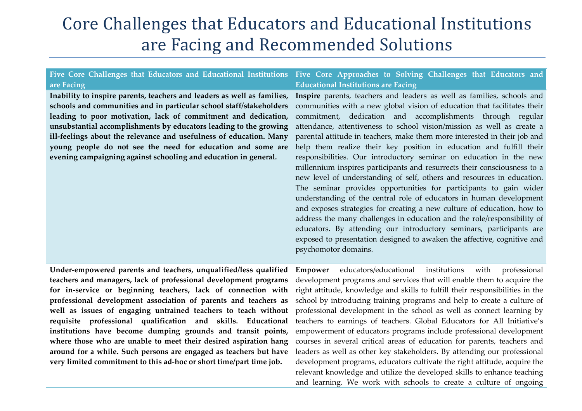## Core Challenges that Educators and Educational Institutions are Facing and Recommended Solutions

|                                                                    | Five Core Challenges that Educators and Educational Institutions Five Core Approaches to Solving Challenges that Educators and                 |
|--------------------------------------------------------------------|------------------------------------------------------------------------------------------------------------------------------------------------|
| are Facing                                                         | <b>Educational Institutions are Facing</b>                                                                                                     |
|                                                                    | Inability to inspire parents, teachers and leaders as well as families, Inspire parents, teachers and leaders as well as families, schools and |
|                                                                    | schools and communities and in particular school staff/stakeholders communities with a new global vision of education that facilitates their   |
|                                                                    | leading to poor motivation, lack of commitment and dedication, commitment, dedication and accomplishments through regular                      |
| unsubstantial accomplishments by educators leading to the growing  | attendance, attentiveness to school vision/mission as well as create a                                                                         |
| ill-feelings about the relevance and usefulness of education. Many | parental attitude in teachers, make them more interested in their job and                                                                      |
| young people do not see the need for education and some are        | help them realize their key position in education and fulfill their                                                                            |
| evening campaigning against schooling and education in general.    | responsibilities. Our introductory seminar on education in the new                                                                             |
|                                                                    | millennium inspires participants and resurrects their consciousness to a                                                                       |
|                                                                    | new level of understanding of self, others and resources in education.                                                                         |
|                                                                    | The seminar provides opportunities for participants to gain wider                                                                              |
|                                                                    | understanding of the central role of educators in human development                                                                            |
|                                                                    | and exposes strategies for creating a new culture of education, how to                                                                         |
|                                                                    | address the many challenges in education and the role/responsibility of                                                                        |
|                                                                    | educators. By attending our introductory seminars, participants are                                                                            |
|                                                                    | exposed to presentation designed to awaken the affective, cognitive and                                                                        |
|                                                                    | psychomotor domains.                                                                                                                           |
|                                                                    |                                                                                                                                                |

**Under-empowered parents and teachers, unqualified/less qualified teachers and managers, lack of professional development programs for in-service or beginning teachers, lack of connection with professional development association of parents and teachers as well as issues of engaging untrained teachers to teach without requisite professional qualification and skills. Educational institutions have become dumping grounds and transit points, where those who are unable to meet their desired aspiration hang around for a while. Such persons are engaged as teachers but have very limited commitment to this ad-hoc or short time/part time job.** 

**Empower** educators/educational institutions with professional development programs and services that will enable them to acquire the right attitude, knowledge and skills to fulfill their responsibilities in the school by introducing training programs and help to create a culture of professional development in the school as well as connect learning by teachers to earnings of teachers. Global Educators for All Initiative's empowerment of educators programs include professional development courses in several critical areas of education for parents, teachers and leaders as well as other key stakeholders. By attending our professional development programs, educators cultivate the right attitude, acquire the relevant knowledge and utilize the developed skills to enhance teaching and learning. We work with schools to create a culture of ongoing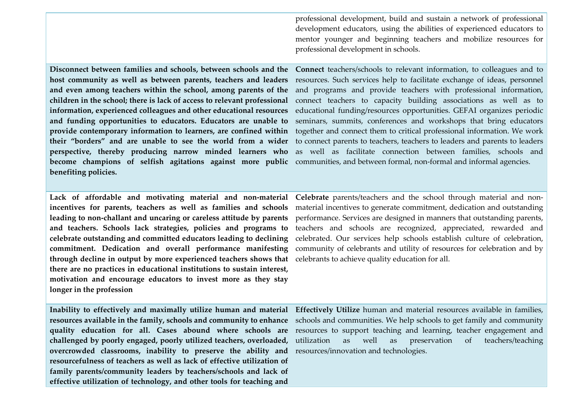professional development, build and sustain a network of professional development educators, using the abilities of experienced educators to mentor younger and beginning teachers and mobilize resources for professional development in schools.

**host community as well as between parents, teachers and leaders and even among teachers within the school, among parents of the information, experienced colleagues and other educational resources become champions of selfish agitations against more public**  communities, and between formal, non-formal and informal agencies. **benefiting policies.** 

**Disconnect between families and schools, between schools and the Connect** teachers/schools to relevant information, to colleagues and to **children in the school; there is lack of access to relevant professional**  connect teachers to capacity building associations as well as to **and funding opportunities to educators. Educators are unable to**  seminars, summits, conferences and workshops that bring educators **provide contemporary information to learners, are confined within** together and connect them to critical professional information. We work **their "borders" and are unable to see the world from a wider** to connect parents to teachers, teachers to leaders and parents to leaders **perspective, thereby producing narrow minded learners who**  as well as facilitate connection between families, schools and resources. Such services help to facilitate exchange of ideas, personnel and programs and provide teachers with professional information, educational funding/resources opportunities. GEFAI organizes periodic

**Lack of affordable and motivating material and non-material Celebrate** parents/teachers and the school through material and non **leading to non-challant and uncaring or careless attitude by parents and teachers. Schools lack strategies, policies and programs to celebrate outstanding and committed educators leading to declining through decline in output by more experienced teachers shows that**  celebrants to achieve quality education for all. **there are no practices in educational institutions to sustain interest, motivation and encourage educators to invest more as they stay longer in the profession** 

**incentives for parents, teachers as well as families and schools** material incentives to generate commitment, dedication and outstanding **commitment. Dedication and overall performance manifesting** community of celebrants and utility of resources for celebration and by performance. Services are designed in manners that outstanding parents, teachers and schools are recognized, appreciated, rewarded and celebrated. Our services help schools establish culture of celebration,

**challenged by poorly engaged, poorly utilized teachers, overloaded, overcrowded classrooms, inability to preserve the ability and**  resources/innovation and technologies. **resourcefulness of teachers as well as lack of effective utilization of family parents/community leaders by teachers/schools and lack of effective utilization of technology, and other tools for teaching and** 

**Inability to effectively and maximally utilize human and material Effectively Utilize** human and material resources available in families, **resources available in the family, schools and community to enhance** schools and communities. We help schools to get family and community **quality education for all. Cases abound where schools are**  resources to support teaching and learning, teacher engagement and as well as preservation of teachers/teaching